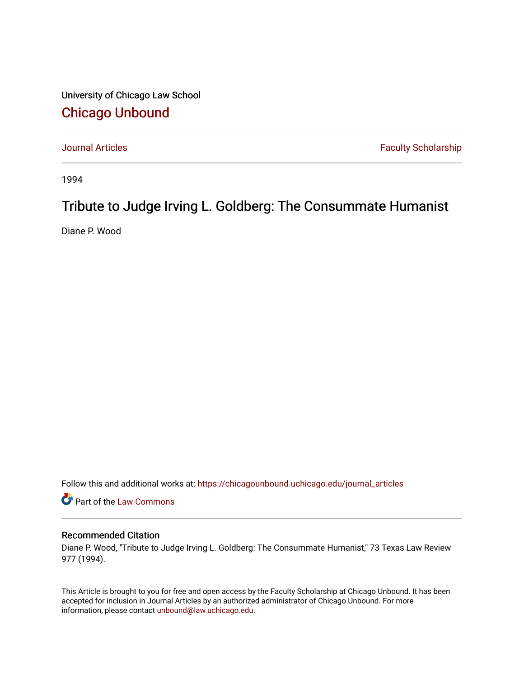University of Chicago Law School [Chicago Unbound](https://chicagounbound.uchicago.edu/)

[Journal Articles](https://chicagounbound.uchicago.edu/journal_articles) **Faculty Scholarship Faculty Scholarship** 

1994

## Tribute to Judge Irving L. Goldberg: The Consummate Humanist

Diane P. Wood

Follow this and additional works at: [https://chicagounbound.uchicago.edu/journal\\_articles](https://chicagounbound.uchicago.edu/journal_articles?utm_source=chicagounbound.uchicago.edu%2Fjournal_articles%2F2062&utm_medium=PDF&utm_campaign=PDFCoverPages) 

Part of the [Law Commons](http://network.bepress.com/hgg/discipline/578?utm_source=chicagounbound.uchicago.edu%2Fjournal_articles%2F2062&utm_medium=PDF&utm_campaign=PDFCoverPages)

## Recommended Citation

Diane P. Wood, "Tribute to Judge Irving L. Goldberg: The Consummate Humanist," 73 Texas Law Review 977 (1994).

This Article is brought to you for free and open access by the Faculty Scholarship at Chicago Unbound. It has been accepted for inclusion in Journal Articles by an authorized administrator of Chicago Unbound. For more information, please contact [unbound@law.uchicago.edu](mailto:unbound@law.uchicago.edu).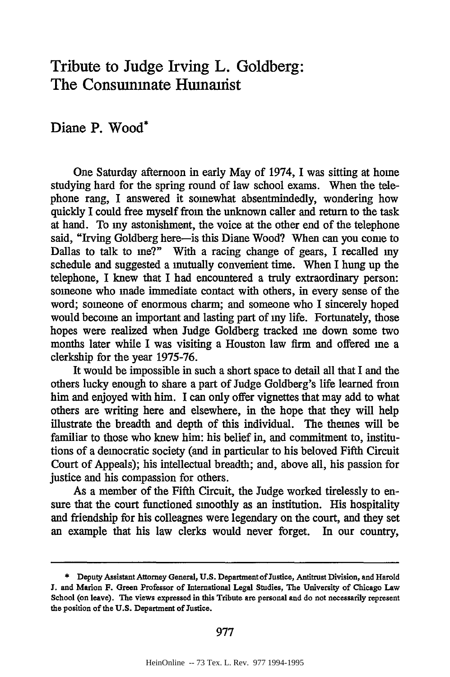## Tribute to Judge Irving L. Goldberg: The Consummate Humanist

## Diane P. Wood\*

One Saturday afternoon in early May of 1974, I was sitting at home studying hard for the spring round of law school exams. When the telephone rang, I answered it somewhat absentmindedly, wondering how quickly I could free myself from the unknown caller and return to the task at hand. To my astonishment, the voice at the other end of the telephone said, "Irving Goldberg here-is this Diane Wood? When can you come to Dallas to talk to me?" With a racing change of gears, I recalled my schedule and suggested a mutually convenient time. When I hung up the telephone, I knew that I had encountered a truly extraordinary person: someone who made immediate contact with others, in every sense of the word; someone of enormous charm; and someone who I sincerely hoped would become an important and lasting part of my life. Fortunately, those hopes were realized when Judge Goldberg tracked me down some two months later while I was visiting a Houston law firm and offered me a clerkship for the year 1975-76.

It would be impossible in such a short space to detail all that I and the others lucky enough to share a part of Judge Goldberg's life learned from him and enjoyed with him. I can only offer vignettes that may add to what others are writing here and elsewhere, in the hope that they will help illustrate the breadth and depth of this individual. The themes will be familiar to those who knew him: his belief in, and commitment to, institutions of a democratic society (and in particular to his beloved Fifth Circuit Court of Appeals); his intellectual breadth; and, above all, his passion for justice and his compassion for others.

As a member of the Fifth Circuit, the Judge worked tirelessly to ensure that the court functioned smoothly as an institution. His hospitality and friendship for his colleagnes were legendary on the court, and they set an example that his law clerks would never forget. In our country,

<sup>\*</sup> **Deputy Assistant Attorney General, U.S. Department of Justice, Antitrust Division, and Harold J. and Marion F. Green Professor of International Legal Studies, The University of Chicago Law School (on leave).** The **views expressed in this Tribute are personal and do not necessarily represent the position of** the **U.S. Department of Justice.**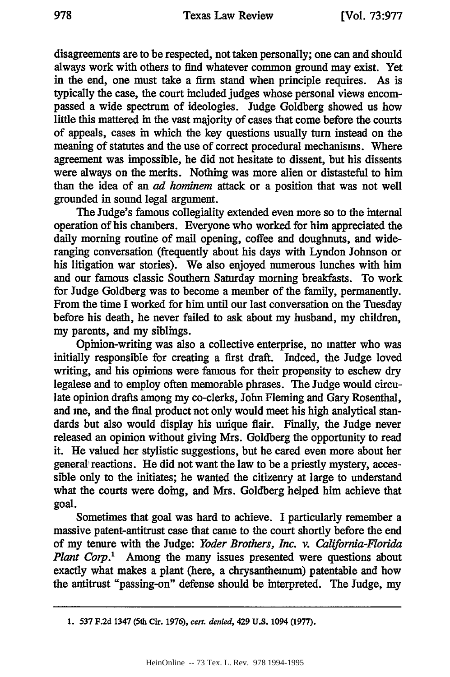disagreements are to be respected, not taken personally; one can and should always work with others to find whatever common ground may exist. Yet in the end, one must take a firm stand when principle requires. As is typically the case, the court included judges whose personal views encompassed a wide spectrum of ideologies. Judge Goldberg showed us how little this mattered in the vast majority of cases that come before the courts of appeals, cases in which the key questions usually turn instead on the meaning of statutes and the use of correct procedural mechanisms. Where agreement was impossible, he did not hesitate to dissent, but his dissents were always on the merits. Nothing was more alien or distasteful to him than the idea of an *ad hominem* attack or a position that was not well grounded in sound legal argument.

The Judge's famous collegiality extended even more so to the internal operation of his chambers. Everyone who worked for him appreciated the daily morning routine of mail opening, coffee and doughnuts, and wideranging conversation (frequently about his days with Lyndon Johnson or his litigation war stories). We also enjoyed numerous lunches with him and our famous classic Southern Saturday morning breakfasts. To work for Judge Goldberg was to become a member of the family, permanently. From the time I worked for him until our last conversation on the Tuesday before his death, he never failed to ask about my husband, my children, my parents, and my siblings.

Opinion-writing was also a collective enterprise, no matter who was initially responsible for creating a first draft. Indeed, the Judge loved writing, and his opinions were famous for their propensity to eschew dry legalese and to employ often memorable phrases. The Judge would circulate opinion drafts among my co-clerks, John Fleming and Gary Rosenthal, and me, and the final product not only would meet his high analytical standards but also would display his unique flair. Finally, the Judge never released an opinion without giving Mrs. Goldberg the opportunity to read it. He valued her stylistic suggestions, but he cared even more about her general reactions. He did not want the law to be a priestly mystery, accessible only to the initiates; he wanted the citizenry at large to understand what the courts were doing, and Mrs. Goldberg helped him achieve that goal.

Sometimes that goal was hard to achieve. I particularly remember a massive patent-antitrust case that came to the court shortly before the end of my tenure with the Judge: *Yoder Brothers, Inc. v. California-Florida Plant Corp.'* Among the many issues presented were questions about exactly what makes a plant (here, a chrysanthemum) patentable and how the antitrust "passing-on" defense should be interpreted. The Judge, my

**<sup>1. 537</sup> F.2d 1347 (5th Cir. 1976), cert.** *denied,* **429 U.S.** 1094 **(1977).**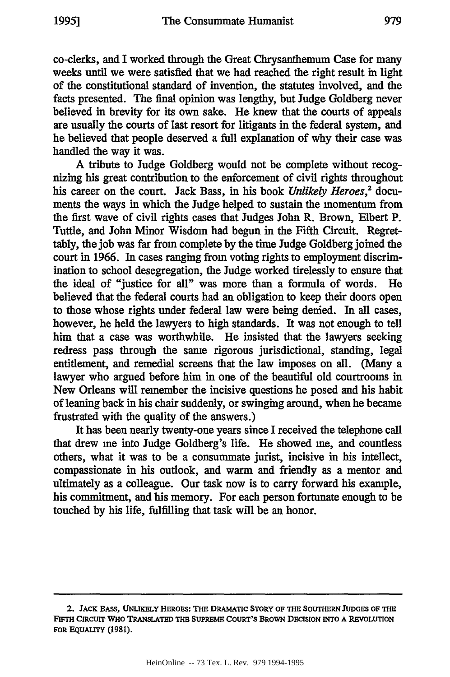co-clerks, and I worked through the Great Chrysanthemum Case for many weeks until we were satisfied that we had reached the right result in light of the constitutional standard of invention, the statutes involved, and the facts presented. The final opinion was lengthy, but Judge Goldberg never believed in brevity for its own sake. He knew that the courts of appeals are usually the courts of last resort for litigants in the federal system, and he believed that people deserved a full explanation of why their case was handled the way it was.

A tribute to Judge Goldberg would not be complete without recognizing his great contribution to the enforcement of civil rights throughout his career on the court. Jack Bass, in his book *Unlikely Heroes,2* documents the ways in which the Judge helped to sustain the momentum from the first wave of civil rights cases that Judges John R. Brown, Elbert P. Tuttle, and John Minor Wisdom had begun in the Fifth Circuit. Regrettably, the job was far from complete by the time Judge Goldberg joined the court in **1966.** In cases ranging from voting rights to employment discrimination to school desegregation, the Judge worked tirelessly to ensure that the ideal of "justice for all" was more than a formula of words. He believed that the federal courts had an obligation to keep their doors open to those whose rights under federal law were being denied. In all cases, however, he held the lawyers to high standards. It was not enough to tell him that a case was worthwhile. He insisted that the lawyers seeking redress pass through the same rigorous jurisdictional, standing, legal entitlement, and remedial screens that the law imposes on all. (Many a lawyer who argued before him in one of the beautiful old courtrooms in New Orleans will remember the incisive questions he posed and his habit of leaning back in his chair suddenly, or swinging around, when he became frustrated with the quality of the answers.)

It has been nearly twenty-one years since I received the telephone call that drew me into Judge Goldberg's life. He showed me, and countless others, what it was to be a consummate jurist, incisive in his intellect, compassionate in his outlook, and warm and friendly as a mentor and ultimately as a colleague. Our task now is to carry forward his example, his commitment, and his memory. For each person fortunate enough to be touched by his life, fulfilling that task will be an honor.

**<sup>2.</sup>** JACK **BASS, UNLIKELY HEROES: THE DRAMATIC STORY OF THE SOUTHERN JUDGES OF THE FIFTH CIRCUIT WHO TRANSLATED THE SUPREME COURT'S BROwN DECISION INTO A REVOLUTION FOR EQUALITY (1981).**